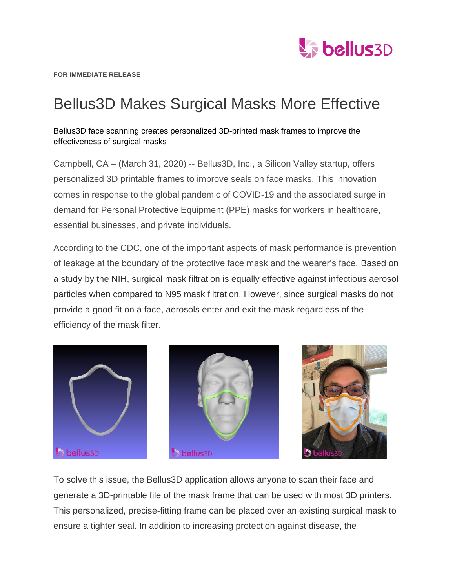

## Bellus3D Makes Surgical Masks More Effective

Bellus3D face scanning creates personalized 3D-printed mask frames to improve the effectiveness of surgical masks

Campbell, CA – (March 31, 2020) -- Bellus3D, Inc., a Silicon Valley startup, offers personalized 3D printable frames to improve seals on face masks. This innovation comes in response to the global pandemic of COVID-19 and the associated surge in demand for Personal Protective Equipment (PPE) masks for workers in healthcare, essential businesses, and private individuals.

According to the CDC, one of the important aspects of mask performance is prevention of leakage at the boundary of the protective face mask and the wearer's face. Based on a study by the NIH, surgical mask filtration is equally effective against infectious aerosol particles when compared to N95 mask filtration. However, since surgical masks do not provide a good fit on a face, aerosols enter and exit the mask regardless of the efficiency of the mask filter.







To solve this issue, the Bellus3D application allows anyone to scan their face and generate a 3D-printable file of the mask frame that can be used with most 3D printers. This personalized, precise-fitting frame can be placed over an existing surgical mask to ensure a tighter seal. In addition to increasing protection against disease, the